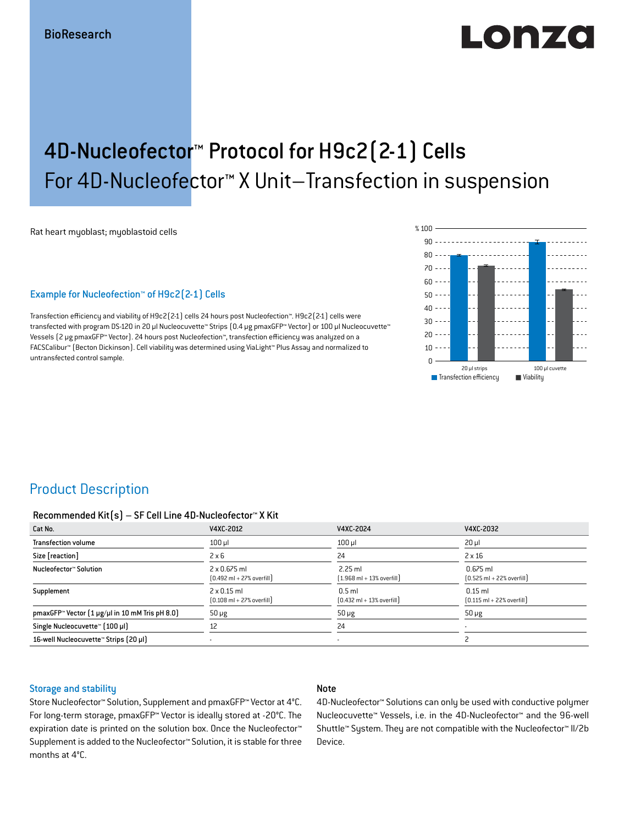# LONZO

## 4D-Nucleofector™ Protocol for H9c2(2-1) Cells For 4D-Nucleofector™ X Unit–Transfection in suspension

Rat heart myoblast; myoblastoid cells

#### Example for Nucleofection™ of H9c2(2-1) Cells

Transfection efficiency and viability of H9c2(2-1) cells 24 hours post Nucleofection™. H9c2(2-1) cells were transfected with program DS-120 in 20 μl Nucleocuvette™ Strips (0.4 μg pmaxGFP™ Vector) or 100 μl Nucleocuvette™ Vessels (2 μg pmaxGFP™ Vector). 24 hours post Nucleofection™, transfection efficiency was analyzed on a FACSCalibur™ (Becton Dickinson). Cell viability was determined using ViaLight™ Plus Assay and normalized to untransfected control sample.



## Product Description

#### Recommended Kit(s) – SF Cell Line 4D-Nucleofector™ X Kit

| Cat No.                                                           | V4XC-2012                                                           | V4XC-2024                                                 | V4XC-2032                                                  |
|-------------------------------------------------------------------|---------------------------------------------------------------------|-----------------------------------------------------------|------------------------------------------------------------|
| <b>Transfection volume</b>                                        | $100$ $\mu$                                                         | $100$ µl                                                  | $20 \mu$                                                   |
| Size [reaction]                                                   | $2 \times 6$                                                        | 24                                                        | $2 \times 16$                                              |
| Nucleofector™ Solution                                            | $2 \times 0.675$ ml<br>$[0.492 \text{ ml} + 27\% \text{ overfill}]$ | $2.25$ ml<br>$[1.968 \text{ ml} + 13\% \text{ overfill}]$ | $0.675$ ml<br>$[0.525 \text{ ml} + 22\% \text{ overfill}]$ |
| Supplement                                                        | $2 \times 0.15$ ml<br>$[0.108 \text{ ml} + 27\% \text{ overfill}]$  | $0.5$ ml<br>$[0.432 \text{ ml} + 13\% \text{ overfill}]$  | $0.15$ ml<br>$[0.115 \text{ ml} + 22\% \text{ overfill}]$  |
| pmaxGFP <sup>*</sup> Vector $[1 \mu g/\mu]$ in 10 mM Tris pH 8.0) | $50 \mu g$                                                          | $50 \mu g$                                                | $50 \mu g$                                                 |
| Single Nucleocuvette™ [100 µl]                                    | 12                                                                  | 24                                                        |                                                            |
| 16-well Nucleocuvette™ Strips [20 µl]                             |                                                                     | $\overline{\phantom{a}}$                                  |                                                            |

#### Storage and stability

#### Note

Store Nucleofector™ Solution, Supplement and pmaxGFP™ Vector at 4°C. For long-term storage, pmaxGFP™ Vector is ideally stored at -20°C. The expiration date is printed on the solution box. Once the Nucleofector™ Supplement is added to the Nucleofector™ Solution, it is stable for three months at 4°C.

4D-Nucleofector™ Solutions can only be used with conductive polymer Nucleocuvette™ Vessels, i.e. in the 4D-Nucleofector™ and the 96-well Shuttle™ System. They are not compatible with the Nucleofector™ II/2b Device.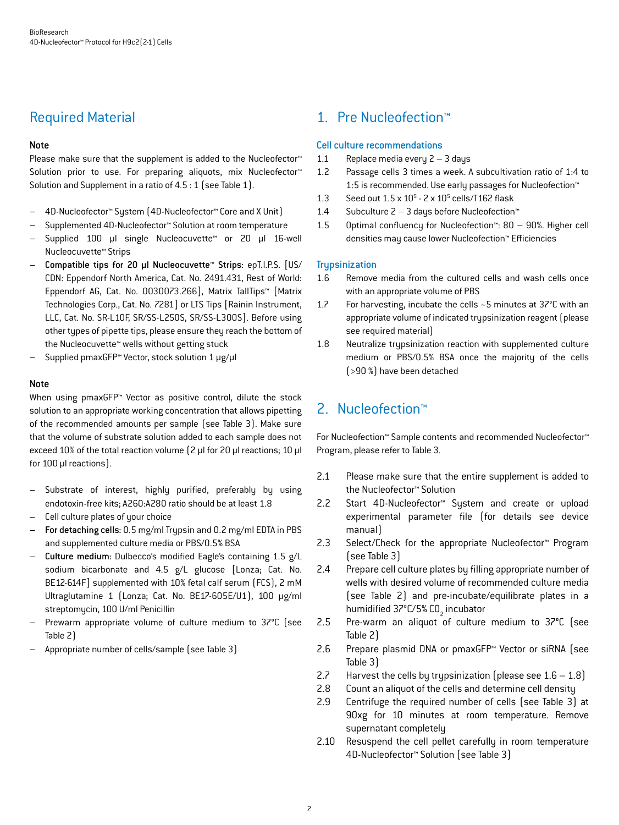## Required Material

#### Note

Please make sure that the supplement is added to the Nucleofector<sup>™</sup> Solution prior to use. For preparing aliquots, mix Nucleofector<sup>™</sup> Solution and Supplement in a ratio of 4.5 : 1 (see Table 1).

- 4D-Nucleofector™ System (4D-Nucleofector™ Core and X Unit)
- Supplemented 4D-Nucleofector™ Solution at room temperature
- Supplied 100 µl single Nucleocuvette™ or 20 µl 16-well Nucleocuvette™ Strips
- Compatible tips for 20 µl Nucleocuvette™ Strips: epT.I.P.S. [US/ CDN: Eppendorf North America, Cat. No. 2491.431, Rest of World: Eppendorf AG, Cat. No. 0030073.266], Matrix TallTips™ [Matrix Technologies Corp., Cat. No. 7281] or LTS Tips [Rainin Instrument, LLC, Cat. No. SR-L10F, SR/SS-L250S, SR/SS-L300S]. Before using other types of pipette tips, please ensure they reach the bottom of the Nucleocuvette™ wells without getting stuck
- Supplied pmaxGFP™ Vector, stock solution 1 μg/μl

#### Note

When using pmaxGFP™ Vector as positive control, dilute the stock solution to an appropriate working concentration that allows pipetting of the recommended amounts per sample (see Table 3). Make sure that the volume of substrate solution added to each sample does not exceed 10% of the total reaction volume (2 μl for 20 μl reactions; 10 μl for 100 μl reactions).

- Substrate of interest, highly purified, preferably by using endotoxin-free kits; A260:A280 ratio should be at least 1.8
- Cell culture plates of your choice
- For detaching cells: 0.5 mg/ml Trypsin and 0.2 mg/ml EDTA in PBS and supplemented culture media or PBS/0.5% BSA
- Culture medium: Dulbecco's modified Eagle's containing 1.5 g/L sodium bicarbonate and 4.5 g/L glucose [Lonza; Cat. No. BE12-614F] supplemented with 10% fetal calf serum (FCS), 2 mM Ultraglutamine 1 (Lonza; Cat. No. BE17-605E/U1), 100 μg/ml streptomycin, 100 U/ml Penicillin
- Prewarm appropriate volume of culture medium to 37°C (see Table 2)
- Appropriate number of cells/sample (see Table 3)

## 1. Pre Nucleofection™

#### Cell culture recommendations

- 1.1 Replace media every 2 3 days
- 1.2 Passage cells 3 times a week. A subcultivation ratio of 1:4 to 1:5 is recommended. Use early passages for Nucleofection™
- 1.3 Seed out  $1.5 \times 10^5$  2 x  $10^5$  cells/T162 flask
- 1.4 Subculture 2 3 days before Nucleofection™
- 1.5 Optimal confluency for Nucleofection™: 80 90%. Higher cell densities may cause lower Nucleofection™ Efficiencies

#### **Trupsinization**

- 1.6 Remove media from the cultured cells and wash cells once with an appropriate volume of PBS
- 1.7 For harvesting, incubate the cells ~5 minutes at 37°C with an appropriate volume of indicated trypsinization reagent (please see required material)
- 1.8 Neutralize trypsinization reaction with supplemented culture medium or PBS/0.5% BSA once the majority of the cells (>90 %) have been detached

## 2. Nucleofection™

For Nucleofection™ Sample contents and recommended Nucleofector™ Program, please refer to Table 3.

- 2.1 Please make sure that the entire supplement is added to the Nucleofector™ Solution
- 2.2 Start 4D-Nucleofector™ System and create or upload experimental parameter file (for details see device manual)
- 2.3 Select/Check for the appropriate Nucleofector™ Program (see Table 3)
- 2.4 Prepare cell culture plates by filling appropriate number of wells with desired volume of recommended culture media (see Table 2) and pre-incubate/equilibrate plates in a humidified 37°C/5% CO<sub>2</sub> incubator
- 2.5 Pre-warm an aliquot of culture medium to 37°C (see Table 2)
- 2.6 Prepare plasmid DNA or pmaxGFP™ Vector or siRNA (see Table 3)
- 2.7 Harvest the cells by trypsinization (please see  $1.6 1.8$ )
- 2.8 Count an aliquot of the cells and determine cell density
- 2.9 Centrifuge the required number of cells (see Table 3) at 90xg for 10 minutes at room temperature. Remove supernatant completely
- 2.10 Resuspend the cell pellet carefully in room temperature 4D-Nucleofector™ Solution (see Table 3)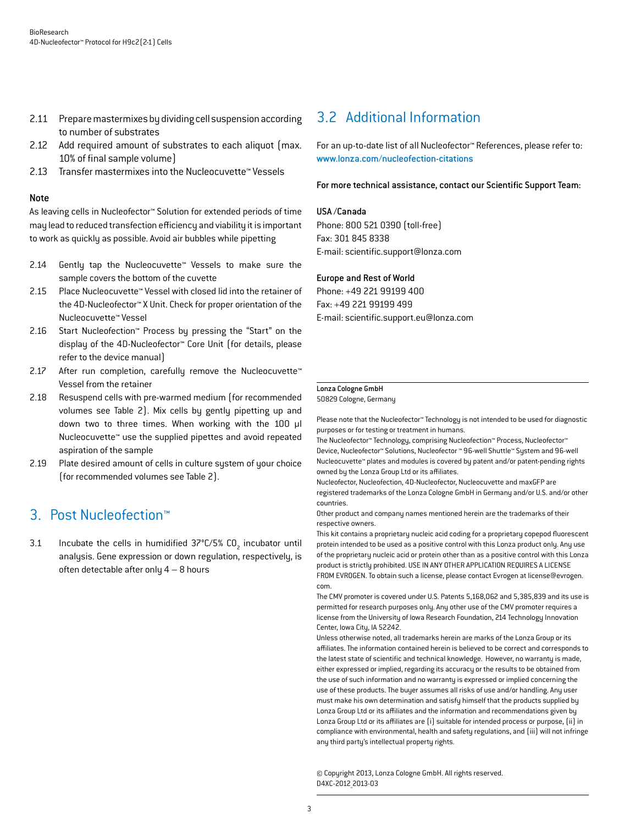- 2.11 Prepare mastermixes by dividing cell suspension according to number of substrates
- 2.12 Add required amount of substrates to each aliquot (max. 10% of final sample volume)
- 2.13 Transfer mastermixes into the Nucleocuvette™ Vessels

#### Note

As leaving cells in Nucleofector™ Solution for extended periods of time may lead to reduced transfection efficiency and viability it is important to work as quickly as possible. Avoid air bubbles while pipetting

- 2.14 Gently tap the Nucleocuvette™ Vessels to make sure the sample covers the bottom of the cuvette
- 2.15 Place Nucleocuvette™ Vessel with closed lid into the retainer of the 4D-Nucleofector™ X Unit. Check for proper orientation of the Nucleocuvette™ Vessel
- 2.16 Start Nucleofection™ Process by pressing the "Start" on the display of the 4D-Nucleofector™ Core Unit (for details, please refer to the device manual)
- 2.17 After run completion, carefully remove the Nucleocuvette™ Vessel from the retainer
- 2.18 Resuspend cells with pre-warmed medium (for recommended volumes see Table 2). Mix cells by gently pipetting up and down two to three times. When working with the 100 µl Nucleocuvette™ use the supplied pipettes and avoid repeated aspiration of the sample
- 2.19 Plate desired amount of cells in culture system of your choice (for recommended volumes see Table 2).

## 3. Post Nucleofection™

3.1 Incubate the cells in humidified  $37^{\circ}$ C/5% CO<sub>2</sub> incubator until analysis. Gene expression or down regulation, respectively, is often detectable after only 4 – 8 hours

## 3.2 Additional Information

For an up-to-date list of all Nucleofector™ References, please refer to: www.lonza.com/nucleofection-citations

For more technical assistance, contact our Scientific Support Team:

#### USA /Canada

Phone: 800 521 0390 (toll-free) Fax: 301 845 8338 E-mail: scientific.support@lonza.com

#### Europe and Rest of World

Phone: +49 221 99199 400 Fax: +49 221 99199 499 E-mail: scientific.support.eu@lonza.com

#### Lonza Cologne GmbH

50829 Cologne, Germany

Please note that the Nucleofector™ Technology is not intended to be used for diagnostic purposes or for testing or treatment in humans.

The Nucleofector™ Technology, comprising Nucleofection™ Process, Nucleofector™ Device, Nucleofector™ Solutions, Nucleofector ™ 96-well Shuttle™ System and 96-well Nucleocuvette™ plates and modules is covered by patent and/or patent-pending rights owned by the Lonza Group Ltd or its affiliates.

Nucleofector, Nucleofection, 4D-Nucleofector, Nucleocuvette and maxGFP are registered trademarks of the Lonza Cologne GmbH in Germany and/or U.S. and/or other countries.

Other product and company names mentioned herein are the trademarks of their respective owners.

This kit contains a proprietary nucleic acid coding for a proprietary copepod fluorescent protein intended to be used as a positive control with this Lonza product only. Any use of the proprietary nucleic acid or protein other than as a positive control with this Lonza product is strictly prohibited. USE IN ANY OTHER APPLICATION REQUIRES A LICENSE FROM EVROGEN. To obtain such a license, please contact Evrogen at license@evrogen. com.

The CMV promoter is covered under U.S. Patents 5,168,062 and 5,385,839 and its use is permitted for research purposes only. Any other use of the CMV promoter requires a license from the University of Iowa Research Foundation, 214 Technology Innovation Center, Iowa City, IA 52242.

Unless otherwise noted, all trademarks herein are marks of the Lonza Group or its affiliates. The information contained herein is believed to be correct and corresponds to the latest state of scientific and technical knowledge. However, no warranty is made, either expressed or implied, regarding its accuracy or the results to be obtained from the use of such information and no warranty is expressed or implied concerning the use of these products. The buyer assumes all risks of use and/or handling. Any user must make his own determination and satisfy himself that the products supplied by Lonza Group Ltd or its affiliates and the information and recommendations given by Lonza Group Ltd or its affiliates are (i) suitable for intended process or purpose, (ii) in compliance with environmental, health and safety regulations, and (iii) will not infringe any third party's intellectual property rights.

© Copyright 2013, Lonza Cologne GmbH. All rights reserved. D4XC-2012\_2013-03